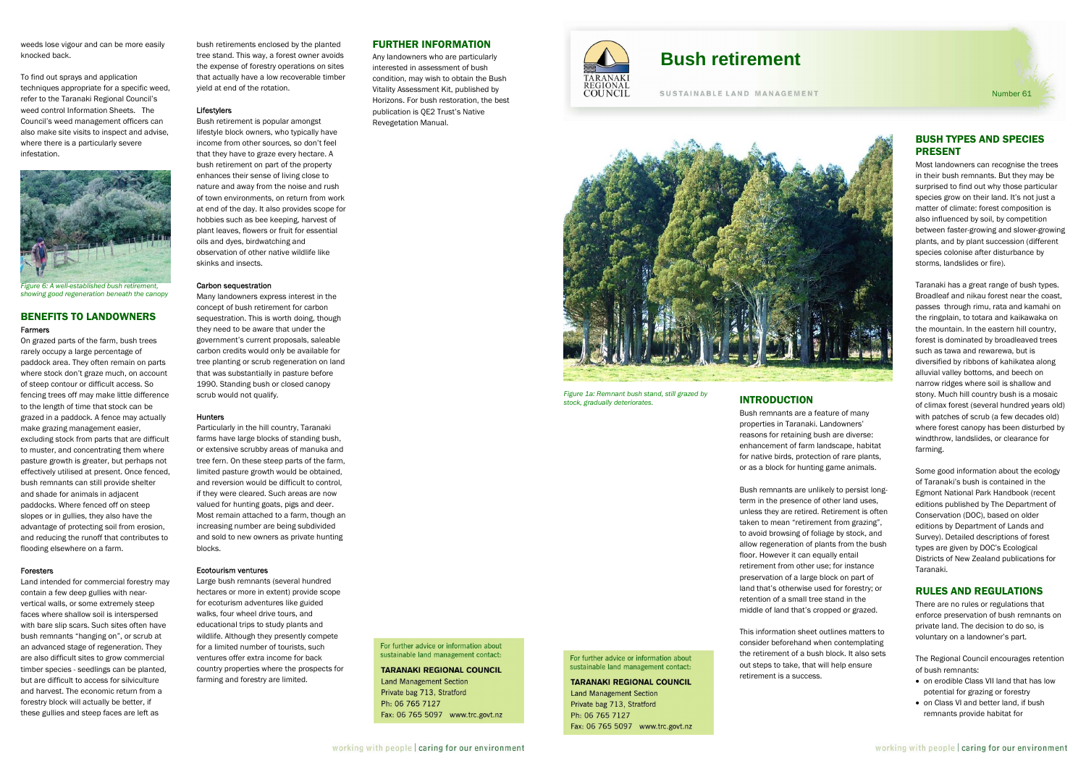weeds lose vigour and can be more easily knocked back.

To find out sprays and application techniques appropriate for a specific weed, refer to the Taranaki Regional Council's weed control Information Sheets. The Council's weed management officers can also make site visits to inspect and advise, where there is a particularly severe infestation.



*showing good regeneration beneath the canopy* 

# BENEFITS TO LANDOWNERS Farmers

On grazed parts of the farm, bush trees rarely occupy a large percentage of paddock area. They often remain on parts where stock don't graze much, on account of steep contour or difficult access. So fencing trees off may make little difference to the length of time that stock can be grazed in a paddock. A fence may actually make grazing management easier, excluding stock from parts that are difficult to muster, and concentrating them where pasture growth is greater, but perhaps not effectively utilised at present. Once fenced, bush remnants can still provide shelter and shade for animals in adjacent paddocks. Where fenced off on steep slopes or in gullies, they also have the advantage of protecting soil from erosion, and reducing the runoff that contributes to flooding elsewhere on a farm.

#### Foresters

Many landowners express interest in the concept of bush retirement for carbon sequestration. This is worth doing, though they need to be aware that under the government's current proposals, saleable carbon credits would only be available for tree planting or scrub regeneration on land that was substantially in pasture before 1990. Standing bush or closed canopy scrub would not qualify.

Land intended for commercial forestry may contain a few deep gullies with nearvertical walls, or some extremely steep faces where shallow soil is interspersed with bare slip scars. Such sites often have bush remnants "hanging on", or scrub at an advanced stage of regeneration. They are also difficult sites to grow commercial timber species - seedlings can be planted, but are difficult to access for silviculture and harvest. The economic return from a forestry block will actually be better, if these gullies and steep faces are left as

bush retirements enclosed by the planted tree stand. This way, a forest owner avoids the expense of forestry operations on sites that actually have a low recoverable timber yield at end of the rotation.

#### **Lifestylers**

*Figure 1a: Remnant bush stand, still grazed by*  **strock, gradually deteriorates. INTRODUCTION** 

For further advice or information about sustainable land management contact:

**TARANAKI REGIONAL COUNCIL** 

Fax: 06 765 5097 www.trc.govt.nz

**Land Management Section** 

Private bag 713, Stratford

Ph: 06 765 7127

Bush retirement is popular amongst lifestyle block owners, who typically have income from other sources, so don't feel that they have to graze every hectare. A bush retirement on part of the property enhances their sense of living close to nature and away from the noise and rush of town environments, on return from work at end of the day. It also provides scope for hobbies such as bee keeping, harvest of plant leaves, flowers or fruit for essential oils and dyes, birdwatching and observation of other native wildlife like skinks and insects.

# Carbon sequestration

### Hunters

Particularly in the hill country, Taranaki farms have large blocks of standing bush, or extensive scrubby areas of manuka and tree fern. On these steep parts of the farm, limited pasture growth would be obtained, and reversion would be difficult to control, if they were cleared. Such areas are now valued for hunting goats, pigs and deer. Most remain attached to a farm, though an increasing number are being subdivided and sold to new owners as private hunting blocks.

#### Ecotourism ventures

Large bush remnants (several hundred hectares or more in extent) provide scope for ecoturism adventures like guided walks, four wheel drive tours, and educational trips to study plants and wildlife. Although they presently compete for a limited number of tourists, such ventures offer extra income for back country properties where the prospects for farming and forestry are limited.

# FURTHER INFORMATION

Any landowners who are particularly interested in assessment of bush condition, may wish to obtain the Bush Vitality Assessment Kit, published by Horizons. For bush restoration, the best publication is QE2 Trust's Native Revegetation Manual.



Bush remnants are a feature of many properties in Taranaki. Landowners' reasons for retaining bush are diverse: enhancement of farm landscape, habitat for native birds, protection of rare plants, or as a block for hunting game animals.

Bush remnants are unlikely to persist longterm in the presence of other land uses, unless they are retired. Retirement is often taken to mean "retirement from grazing", to avoid browsing of foliage by stock, and allow regeneration of plants from the bush floor. However it can equally entail retirement from other use; for instance preservation of a large block on part of land that's otherwise used for forestry; or retention of a small tree stand in the middle of land that's cropped or grazed.

This information sheet outlines matters to

consider beforehand when contemplating the retirement of a bush block. It also sets out steps to take, that will help ensure retirement is a success.

#### For further advice or information about sustainable land management contact-

# **TARANAKI REGIONAL COUNCIL**

**Land Management Section** Private bag 713, Stratford Ph: 06 765 7127 Fax: 06 765 5097 www.trc.govt.nz

# BUSH TYPES AND SPECIES PRESENT

Most landowners can recognise the trees in their bush remnants. But they may be surprised to find out why those particular species grow on their land. It's not just a matter of climate: forest composition is also influenced by soil, by competition between faster-growing and slower-growing plants, and by plant succession (different species colonise after disturbance by storms, landslides or fire).

Taranaki has a great range of bush types. Broadleaf and nikau forest near the coast, passes through rimu, rata and kamahi on the ringplain, to totara and kaikawaka on the mountain. In the eastern hill country, forest is dominated by broadleaved trees such as tawa and rewarewa, but is diversified by ribbons of kahikatea along alluvial valley bottoms, and beech on narrow ridges where soil is shallow and stony. Much hill country bush is a mosaic of climax forest (several hundred years old) with patches of scrub (a few decades old) where forest canopy has been disturbed by windthrow, landslides, or clearance for farming.

Some good information about the ecology of Taranaki's bush is contained in the Egmont National Park Handbook (recent editions published by The Department of Conservation (DOC), based on older editions by Department of Lands and Survey). Detailed descriptions of forest types are given by DOC's Ecological Districts of New Zealand publications for Taranaki.

# RULES AND REGULATIONS

There are no rules or regulations that enforce preservation of bush remnants on private land. The decision to do so, is voluntary on a landowner's part.

The Regional Council encourages retention of bush remnants:

- on erodible Class VII land that has low potential for grazing or forestry
- on Class VI and better land, if bush remnants provide habitat for

# **Bush retirement**

SUSTAINABLE LAND MANAGEMENT



Number 61